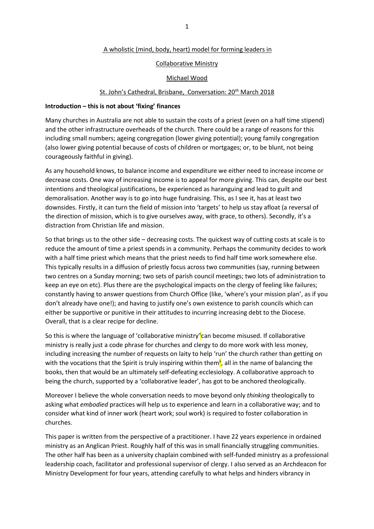# A wholistic (mind, body, heart) model for forming leaders in

# Collaborative Ministry

# Michael Wood

# St. John's Cathedral, Brisbane, Conversation: 20<sup>th</sup> March 2018

### **Introduction – this is not about 'fixing' finances**

Many churches in Australia are not able to sustain the costs of a priest (even on a half time stipend) and the other infrastructure overheads of the church. There could be a range of reasons for this including small numbers; ageing congregation (lower giving potential); young family congregation (also lower giving potential because of costs of children or mortgages; or, to be blunt, not being courageously faithful in giving).

As any household knows, to balance income and expenditure we either need to increase income or decrease costs. One way of increasing income is to appeal for more giving. This can, despite our best intentions and theological justifications, be experienced as haranguing and lead to guilt and demoralisation. Another way is to go into huge fundraising. This, as I see it, has at least two downsides. Firstly, it can turn the field of mission into 'targets' to help us stay afloat (a reversal of the direction of mission, which is to give ourselves away, with grace, to others). Secondly, it's a distraction from Christian life and mission.

So that brings us to the other side – decreasing costs. The quickest way of cutting costs at scale is to reduce the amount of time a priest spends in a community. Perhaps the community decides to work with a half time priest which means that the priest needs to find half time work somewhere else. This typically results in a diffusion of priestly focus across two communities (say, running between two centres on a Sunday morning; two sets of parish council meetings; two lots of administration to keep an eye on etc). Plus there are the psychological impacts on the clergy of feeling like failures; constantly having to answer questions from Church Office (like, 'where's your mission plan', as if you don't already have one!); and having to justify one's own existence to parish councils which can either be supportive or punitive in their attitudes to incurring increasing debt to the Diocese. Overall, that is a clear recipe for decline.

So this is where the language of 'collaborative ministry'<mark>i</mark>can become misused. If collaborative ministry is really just a code phrase for churches and clergy to do more work with less money, including increasing the number of requests on laity to help 'run' the church rather than getting on with the vocations that the Spirit is truly inspiring within them<sup>ii</sup>, all in the name of balancing the books, then that would be an ultimately self-defeating ecclesiology. A collaborative approach to being the church, supported by a 'collaborative leader', has got to be anchored theologically.

Moreover I believe the whole conversation needs to move beyond only *thinking* theologically to asking what *embodied* practices will help us to experience and learn in a collaborative way; and to consider what kind of inner work (heart work; soul work) is required to foster collaboration in churches.

This paper is written from the perspective of a practitioner. I have 22 years experience in ordained ministry as an Anglican Priest. Roughly half of this was in small financially struggling communities. The other half has been as a university chaplain combined with self-funded ministry as a professional leadership coach, facilitator and professional supervisor of clergy. I also served as an Archdeacon for Ministry Development for four years, attending carefully to what helps and hinders vibrancy in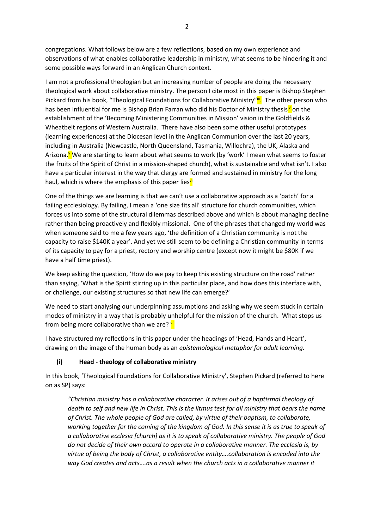congregations. What follows below are a few reflections, based on my own experience and observations of what enables collaborative leadership in ministry, what seems to be hindering it and some possible ways forward in an Anglican Church context.

I am not a professional theologian but an increasing number of people are doing the necessary theological work about collaborative ministry. The person I cite most in this paper is Bishop Stephen Pickard from his book, "Theological Foundations for Collaborative Ministry" in The other person who has been influential for me is Bishop Brian Farran who did his Doctor of Ministry thesis<sup>y</sup> on the establishment of the 'Becoming Ministering Communities in Mission' vision in the Goldfields & Wheatbelt regions of Western Australia. There have also been some other useful prototypes (learning experiences) at the Diocesan level in the Anglican Communion over the last 20 years, including in Australia (Newcastle, North Queensland, Tasmania, Willochra), the UK, Alaska and Arizona.<sup>V</sup> We are starting to learn about what seems to work (by 'work' I mean what seems to foster the fruits of the Spirit of Christ in a mission-shaped church), what is sustainable and what isn't. I also have a particular interest in the way that clergy are formed and sustained in ministry for the long haul, which is where the emphasis of this paper lies<sup>vi</sup>

One of the things we are learning is that we can't use a collaborative approach as a 'patch' for a failing ecclesiology. By failing, I mean a 'one size fits all' structure for church communities, which forces us into some of the structural dilemmas described above and which is about managing decline rather than being proactively and flexibly missional. One of the phrases that changed my world was when someone said to me a few years ago, 'the definition of a Christian community is not the capacity to raise \$140K a year'. And yet we still seem to be defining a Christian community in terms of its capacity to pay for a priest, rectory and worship centre (except now it might be \$80K if we have a half time priest).

We keep asking the question, 'How do we pay to keep this existing structure on the road' rather than saying, 'What is the Spirit stirring up in this particular place, and how does this interface with, or challenge, our existing structures so that new life can emerge?'

We need to start analysing our underpinning assumptions and asking why we seem stuck in certain modes of ministry in a way that is probably unhelpful for the mission of the church. What stops us from being more collaborative than we are? Vil

I have structured my reflections in this paper under the headings of 'Head, Hands and Heart', drawing on the image of the human body as an *epistemological metaphor for adult learning.*

# **(i) Head - theology of collaborative ministry**

In this book, 'Theological Foundations for Collaborative Ministry', Stephen Pickard (referred to here on as SP) says:

*"Christian ministry has a collaborative character. It arises out of a baptismal theology of death to self and new life in Christ. This is the litmus test for all ministry that bears the name of Christ. The whole people of God are called, by virtue of their baptism, to collaborate, working together for the coming of the kingdom of God. In this sense it is as true to speak of a collaborative ecclesia [church] as it is to speak of collaborative ministry. The people of God do not decide of their own accord to operate in a collaborative manner. The ecclesia is, by virtue of being the body of Christ, a collaborative entity….collaboration is encoded into the way God creates and acts….as a result when the church acts in a collaborative manner it*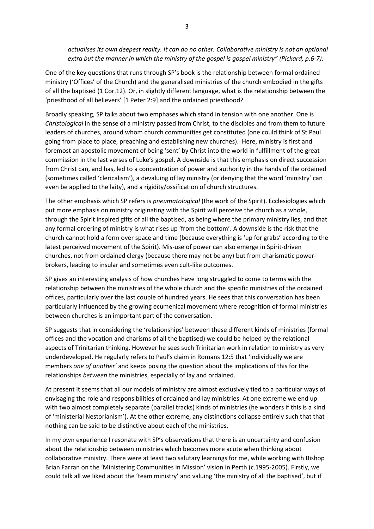*actualises its own deepest reality. It can do no other. Collaborative ministry is not an optional extra but the manner in which the ministry of the gospel is gospel ministry" (Pickard, p.6-7).*

One of the key questions that runs through SP's book is the relationship between formal ordained ministry ('Offices' of the Church) and the generalised ministries of the church embodied in the gifts of all the baptised (1 Cor.12). Or, in slightly different language, what is the relationship between the 'priesthood of all believers' [1 Peter 2:9] and the ordained priesthood?

Broadly speaking, SP talks about two emphases which stand in tension with one another. One is *Christological* in the sense of a ministry passed from Christ, to the disciples and from them to future leaders of churches, around whom church communities get constituted (one could think of St Paul going from place to place, preaching and establishing new churches). Here, ministry is first and foremost an apostolic movement of being 'sent' by Christ into the world in fulfillment of the great commission in the last verses of Luke's gospel. A downside is that this emphasis on direct succession from Christ can, and has, led to a concentration of power and authority in the hands of the ordained (sometimes called 'clericalism'), a devaluing of lay ministry (or denying that the word 'ministry' can even be applied to the laity), and a rigidity/ossification of church structures.

The other emphasis which SP refers is *pneumatological* (the work of the Spirit). Ecclesiologies which put more emphasis on ministry originating with the Spirit will perceive the church as a whole, through the Spirit inspired gifts of all the baptised, as being where the primary ministry lies, and that any formal ordering of ministry is what rises up 'from the bottom'. A downside is the risk that the church cannot hold a form over space and time (because everything is 'up for grabs' according to the latest perceived movement of the Spirit). Mis-use of power can also emerge in Spirit-driven churches, not from ordained clergy (because there may not be any) but from charismatic powerbrokers, leading to insular and sometimes even cult-like outcomes.

SP gives an interesting analysis of how churches have long struggled to come to terms with the relationship between the ministries of the whole church and the specific ministries of the ordained offices, particularly over the last couple of hundred years. He sees that this conversation has been particularly influenced by the growing ecumenical movement where recognition of formal ministries between churches is an important part of the conversation.

SP suggests that in considering the 'relationships' between these different kinds of ministries (formal offices and the vocation and charisms of all the baptised) we could be helped by the relational aspects of Trinitarian thinking. However he sees such Trinitarian work in relation to ministry as very underdeveloped. He regularly refers to Paul's claim in Romans 12:5 that 'individually we are members *one of another'* and keeps posing the question about the implications of this for the relationships *between* the ministries, especially of lay and ordained.

At present it seems that all our models of ministry are almost exclusively tied to a particular ways of envisaging the role and responsibilities of ordained and lay ministries. At one extreme we end up with two almost completely separate (parallel tracks) kinds of ministries (he wonders if this is a kind of 'ministerial Nestorianism'). At the other extreme, any distinctions collapse entirely such that that nothing can be said to be distinctive about each of the ministries.

In my own experience I resonate with SP's observations that there is an uncertainty and confusion about the relationship between ministries which becomes more acute when thinking about collaborative ministry. There were at least two salutary learnings for me, while working with Bishop Brian Farran on the 'Ministering Communities in Mission' vision in Perth (c.1995-2005). Firstly, we could talk all we liked about the 'team ministry' and valuing 'the ministry of all the baptised', but if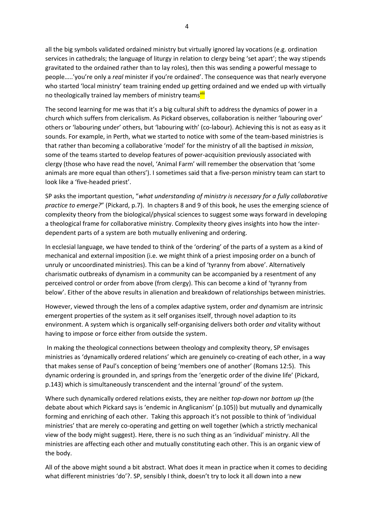all the big symbols validated ordained ministry but virtually ignored lay vocations (e.g. ordination services in cathedrals; the language of liturgy in relation to clergy being 'set apart'; the way stipends gravitated to the ordained rather than to lay roles), then this was sending a powerful message to people…..'you're only a *real* minister if you're ordained'. The consequence was that nearly everyone who started 'local ministry' team training ended up getting ordained and we ended up with virtually no theologically trained lay members of ministry teams<sup>viii</sup>

The second learning for me was that it's a big cultural shift to address the dynamics of power in a church which suffers from clericalism. As Pickard observes, collaboration is neither 'labouring over' others or 'labouring under' others, but 'labouring with' (co-labour). Achieving this is not as easy as it sounds. For example, in Perth, what we started to notice with some of the team-based ministries is that rather than becoming a collaborative 'model' for the ministry of all the baptised *in mission*, some of the teams started to develop features of power-acquisition previously associated with clergy (those who have read the novel, 'Animal Farm' will remember the observation that 'some animals are more equal than others'). I sometimes said that a five-person ministry team can start to look like a 'five-headed priest'.

SP asks the important question, "*what understanding of ministry is necessary for a fully collaborative practice to emerge?*" (Pickard, p.7). In chapters 8 and 9 of this book, he uses the emerging science of complexity theory from the biological/physical sciences to suggest some ways forward in developing a theological frame for collaborative ministry. Complexity theory gives insights into how the interdependent parts of a system are both mutually enlivening and ordering.

In ecclesial language, we have tended to think of the 'ordering' of the parts of a system as a kind of mechanical and external imposition (i.e. we might think of a priest imposing order on a bunch of unruly or uncoordinated ministries). This can be a kind of 'tyranny from above'. Alternatively charismatic outbreaks of dynamism in a community can be accompanied by a resentment of any perceived control or order from above (from clergy). This can become a kind of 'tyranny from below'. Either of the above results in alienation and breakdown of relationships between ministries.

However, viewed through the lens of a complex adaptive system, order *and* dynamism are intrinsic emergent properties of the system as it self organises itself, through novel adaption to its environment. A system which is organically self-organising delivers both order *and* vitality without having to impose or force either from outside the system.

In making the theological connections between theology and complexity theory, SP envisages ministries as 'dynamically ordered relations' which are genuinely co-creating of each other, in a way that makes sense of Paul's conception of being 'members one of another' (Romans 12:5). This dynamic ordering is grounded in, and springs from the 'energetic order of the divine life' (Pickard, p.143) which is simultaneously transcendent and the internal 'ground' of the system.

Where such dynamically ordered relations exists, they are neither *top-down* nor *bottom up* (the debate about which Pickard says is 'endemic in Anglicanism' (p.105)) but mutually and dynamically forming and enriching of each other. Taking this approach it's not possible to think of 'individual ministries' that are merely co-operating and getting on well together (which a strictly mechanical view of the body might suggest). Here, there is no such thing as an 'individual' ministry. All the ministries are affecting each other and mutually constituting each other. This is an organic view of the body.

All of the above might sound a bit abstract. What does it mean in practice when it comes to deciding what different ministries 'do'?. SP, sensibly I think, doesn't try to lock it all down into a new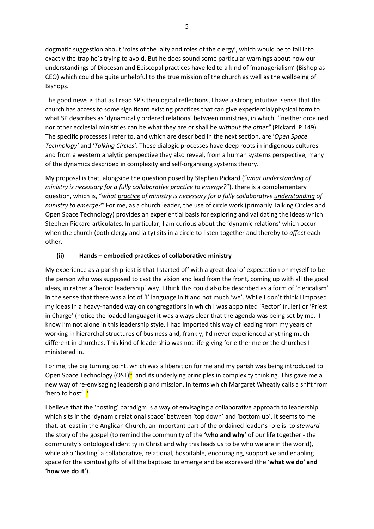dogmatic suggestion about 'roles of the laity and roles of the clergy', which would be to fall into exactly the trap he's trying to avoid. But he does sound some particular warnings about how our understandings of Diocesan and Episcopal practices have led to a kind of 'managerialism' (Bishop as CEO) which could be quite unhelpful to the true mission of the church as well as the wellbeing of Bishops.

The good news is that as I read SP's theological reflections, I have a strong intuitive sense that the church has access to some significant existing practices that can give experiential/physical form to what SP describes as 'dynamically ordered relations' between ministries, in which, ''neither ordained nor other ecclesial ministries can be what they are or shall be *without the other"* (Pickard. P.149). The specific processes I refer to, and which are described in the next section, are '*Open Space Technology'* and '*Talking Circles'*. These dialogic processes have deep roots in indigenous cultures and from a western analytic perspective they also reveal, from a human systems perspective, many of the dynamics described in complexity and self-organising systems theory.

My proposal is that, alongside the question posed by Stephen Pickard ("*what understanding of ministry is necessary for a fully collaborative practice to emerge?*"), there is a complementary question, which is, "*what practice of ministry is necessary for a fully collaborative understanding of ministry to emerge?"* For me, as a church leader, the use of circle work (primarily Talking Circles and Open Space Technology) provides an experiential basis for exploring and validating the ideas which Stephen Pickard articulates. In particular, I am curious about the 'dynamic relations' which occur when the church (both clergy and laity) sits in a circle to listen together and thereby to *affect* each other.

# **(ii) Hands – embodied practices of collaborative ministry**

My experience as a parish priest is that I started off with a great deal of expectation on myself to be the person who was supposed to cast the vision and lead from the front, coming up with all the good ideas, in rather a 'heroic leadership' way. I think this could also be described as a form of 'clericalism' in the sense that there was a lot of 'I' language in it and not much 'we'. While I don't think I imposed my ideas in a heavy-handed way on congregations in which I was appointed 'Rector' (ruler) or 'Priest in Charge' (notice the loaded language) it was always clear that the agenda was being set by me. I know I'm not alone in this leadership style. I had imported this way of leading from my years of working in hierarchal structures of business and, frankly, I'd never experienced anything much different in churches. This kind of leadership was not life-giving for either me or the churches I ministered in.

For me, the big turning point, which was a liberation for me and my parish was being introduced to Open Space Technology (OST) $\frac{N}{2}$ , and its underlying principles in complexity thinking. This gave me a new way of re-envisaging leadership and mission, in terms which Margaret Wheatly calls a shift from 'hero to host'. X

I believe that the 'hosting' paradigm is a way of envisaging a collaborative approach to leadership which sits in the 'dynamic relational space' between 'top down' and 'bottom up'. It seems to me that, at least in the Anglican Church, an important part of the ordained leader's role is to *steward*  the story of the gospel (to remind the community of the **'who and why'** of our life together - the community's ontological identity in Christ and why this leads us to be who we are in the world), while also 'hosting' a collaborative, relational, hospitable, encouraging, supportive and enabling space for the spiritual gifts of all the baptised to emerge and be expressed (the '**what we do' and 'how we do it'**).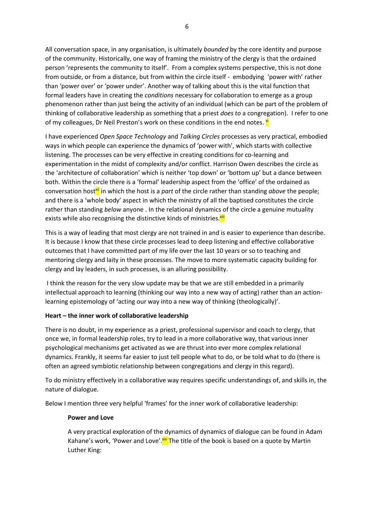All conversation space, in any organisation, is ultimately *bounded* by the core identity and purpose of the community. Historically, one way of framing the ministry of the clergy is that the ordained person 'represents the community to itself'. From a complex systems perspective, this is not done from outside, or from a distance, but from within the circle itself - embodying 'power with' rather than 'power over' or 'power under'. Another way of talking about this is the vital function that formal leaders have in creating the *conditions* necessary for collaboration to emerge as a group phenomenon rather than just being the activity of an individual (which can be part of the problem of thinking of collaborative leadership as something that a priest *does to* a congregation). I refer to one of my colleagues, Dr Neil Preston's work on these conditions in the end notes. X

I have experienced *Open Space Technology* and *Talking Circles* processes as very practical, embodied ways in which people can experience the dynamics of 'power with', which starts with collective listening. The processes can be very effective in creating conditions for co-learning and experimentation in the midst of complexity and/or conflict. Harrison Owen describes the circle as the 'architecture of collaboration' which is neither 'top down' or 'bottom up' but a dance between both. Within the circle there is a 'formal' leadership aspect from the 'office' of the ordained as conversation host<sup>xi</sup> in which the host is a *part* of the circle rather than standing *above* the people; and there is a 'whole body' aspect in which the ministry of all the baptised constitutes the circle rather than standing *below* anyone . In the relational dynamics of the circle a genuine mutuality exists while also recognising the distinctive kinds of ministries.<sup>xiii</sup>

This is a way of leading that most clergy are not trained in and is easier to experience than describe. It is because I know that these circle processes lead to deep listening and effective collaborative outcomes that I have committed part of my life over the last 10 years or so to teaching and mentoring clergy and laity in these processes. The move to more systematic capacity building for clergy and lay leaders, in such processes, is an alluring possibility.

I think the reason for the very slow update may be that we are still embedded in a primarily intellectual approach to learning (thinking our way into a new way of acting) rather than an actionlearning epistemology of 'acting our way into a new way of thinking (theologically)'.

### **Heart – the inner work of collaborative leadership**

There is no doubt, in my experience as a priest, professional supervisor and coach to clergy, that once we, in formal leadership roles, try to lead in a more collaborative way, that various inner psychological mechanisms get activated as we are thrust into ever more complex relational dynamics. Frankly, it seems far easier to just tell people what to do, or be told what to do (there is often an agreed symbiotic relationship between congregations and clergy in this regard).

To do ministry effectively in a collaborative way requires specific understandings of, and skills in, the nature of dialogue.

Below I mention three very helpful 'frames' for the inner work of collaborative leadership:

### **Power and Love**

A very practical exploration of the dynamics of dynamics of dialogue can be found in Adam Kahane's work, 'Power and Love'.<sup>xiv</sup> The title of the book is based on a quote by Martin Luther King: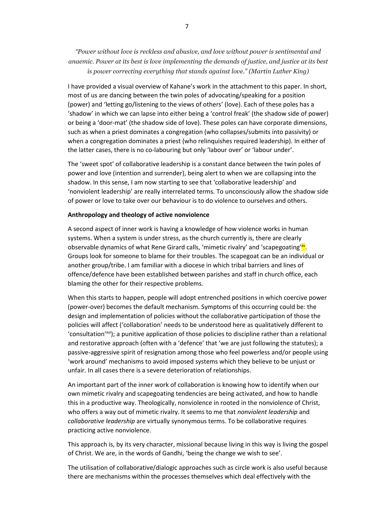*"Power without love is reckless and abusive, and love without power is sentimental and anaemic. Power at its best is love implementing the demands of justice, and justice at its best is power correcting everything that stands against love." (Martin Luther King)*

I have provided a visual overview of Kahane's work in the attachment to this paper. In short, most of us are dancing between the twin poles of advocating/speaking for a position (power) and 'letting go/listening to the views of others' (love). Each of these poles has a 'shadow' in which we can lapse into either being a 'control freak' (the shadow side of power) or being a 'door-mat' (the shadow side of love). These poles can have corporate dimensions, such as when a priest dominates a congregation (who collapses/submits into passivity) or when a congregation dominates a priest (who relinquishes required leadership). In either of the latter cases, there is no co-labouring but only 'labour over' or 'labour under'.

The 'sweet spot' of collaborative leadership is a constant dance between the twin poles of power and love (intention and surrender), being alert to when we are collapsing into the shadow. In this sense, I am now starting to see that 'collaborative leadership' and 'nonviolent leadership' are really interrelated terms. To unconsciously allow the shadow side of power or love to take over our behaviour is to do violence to ourselves and others.

#### **Anthropology and theology of active nonviolence**

A second aspect of inner work is having a knowledge of how violence works in human systems. When a system is under stress, as the church currently is, there are clearly observable dynamics of what Rene Girard calls, 'mimetic rivalry' and 'scapegoating'<sup>xy</sup>. Groups look for someone to blame for their troubles. The scapegoat can be an individual or another group/tribe. I am familiar with a diocese in which tribal barriers and lines of offence/defence have been established between parishes and staff in church office, each blaming the other for their respective problems.

When this starts to happen, people will adopt entrenched positions in which coercive power (power-over) becomes the default mechanism. Symptoms of this occurring could be: the design and implementation of policies without the collaborative participation of those the policies will affect ('collaboration' needs to be understood here as qualitatively different to 'consultation'xvi); a punitive application of those policies to discipline rather than a relational and restorative approach (often with a 'defence' that 'we are just following the statutes); a passive-aggressive spirit of resignation among those who feel powerless and/or people using 'work around' mechanisms to avoid imposed systems which they believe to be unjust or unfair. In all cases there is a severe deterioration of relationships.

An important part of the inner work of collaboration is knowing how to identify when our own mimetic rivalry and scapegoating tendencies are being activated, and how to handle this in a productive way. Theologically, nonviolence in rooted in the nonviolence of Christ, who offers a way out of mimetic rivalry. It seems to me that *nonviolent leadership* and *collaborative leadership* are virtually synonymous terms. To be collaborative requires practicing active nonviolence.

This approach is, by its very character, missional because living in this way is living the gospel of Christ. We are, in the words of Gandhi, 'being the change we wish to see'.

The utilisation of collaborative/dialogic approaches such as circle work is also useful because there are mechanisms within the processes themselves which deal effectively with the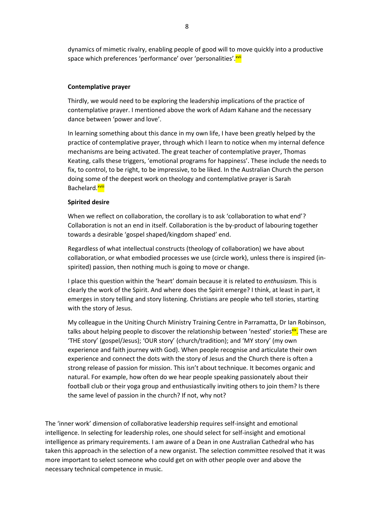dynamics of mimetic rivalry, enabling people of good will to move quickly into a productive space which preferences 'performance' over 'personalities'.<sup>xvii</sup>

### **Contemplative prayer**

Thirdly, we would need to be exploring the leadership implications of the practice of contemplative prayer. I mentioned above the work of Adam Kahane and the necessary dance between 'power and love'.

In learning something about this dance in my own life, I have been greatly helped by the practice of contemplative prayer, through which I learn to notice when my internal defence mechanisms are being activated. The great teacher of contemplative prayer, Thomas Keating, calls these triggers, 'emotional programs for happiness'. These include the needs to fix, to control, to be right, to be impressive, to be liked. In the Australian Church the person doing some of the deepest work on theology and contemplative prayer is Sarah Bachelard.<sup>xviii</sup>

### **Spirited desire**

When we reflect on collaboration, the corollary is to ask 'collaboration to what end'? Collaboration is not an end in itself. Collaboration is the by-product of labouring together towards a desirable 'gospel shaped/kingdom shaped' end.

Regardless of what intellectual constructs (theology of collaboration) we have about collaboration, or what embodied processes we use (circle work), unless there is inspired (inspirited) passion, then nothing much is going to move or change.

I place this question within the 'heart' domain because it is related to *enthusiasm.* This is clearly the work of the Spirit. And where does the Spirit emerge? I think, at least in part, it emerges in story telling and story listening. Christians are people who tell stories, starting with the story of Jesus.

My colleague in the Uniting Church Ministry Training Centre in Parramatta, Dr Ian Robinson, talks about helping people to discover the relationship between 'nested' stories<sup>xix</sup>. These are 'THE story' (gospel/Jesus); 'OUR story' (church/tradition); and 'MY story' (my own experience and faith journey with God). When people recognise and articulate their own experience and connect the dots with the story of Jesus and the Church there is often a strong release of passion for mission. This isn't about technique. It becomes organic and natural. For example, how often do we hear people speaking passionately about their football club or their yoga group and enthusiastically inviting others to join them? Is there the same level of passion in the church? If not, why not?

The 'inner work' dimension of collaborative leadership requires self-insight and emotional intelligence. In selecting for leadership roles, one should select for self-insight and emotional intelligence as primary requirements. I am aware of a Dean in one Australian Cathedral who has taken this approach in the selection of a new organist. The selection committee resolved that it was more important to select someone who could get on with other people over and above the necessary technical competence in music.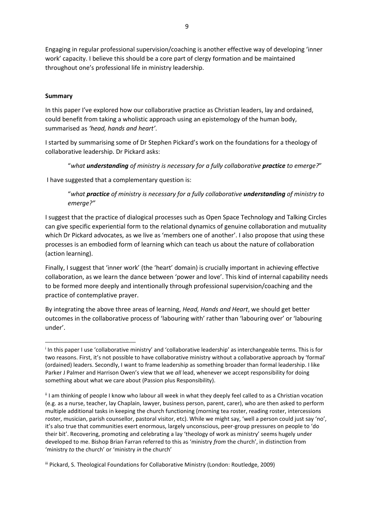Engaging in regular professional supervision/coaching is another effective way of developing 'inner work' capacity. I believe this should be a core part of clergy formation and be maintained throughout one's professional life in ministry leadership.

# **Summary**

 $\overline{a}$ 

In this paper I've explored how our collaborative practice as Christian leaders, lay and ordained, could benefit from taking a wholistic approach using an epistemology of the human body, summarised as *'head, hands and heart'*.

I started by summarising some of Dr Stephen Pickard's work on the foundations for a theology of collaborative leadership. Dr Pickard asks:

### "*what understanding of ministry is necessary for a fully collaborative practice to emerge?*"

I have suggested that a complementary question is:

"*what practice of ministry is necessary for a fully collaborative understanding of ministry to emerge?"*

I suggest that the practice of dialogical processes such as Open Space Technology and Talking Circles can give specific experiential form to the relational dynamics of genuine collaboration and mutuality which Dr Pickard advocates, as we live as 'members one of another'. I also propose that using these processes is an embodied form of learning which can teach us about the nature of collaboration (action learning).

Finally, I suggest that 'inner work' (the 'heart' domain) is crucially important in achieving effective collaboration, as we learn the dance between 'power and love'. This kind of internal capability needs to be formed more deeply and intentionally through professional supervision/coaching and the practice of contemplative prayer.

By integrating the above three areas of learning, *Head, Hands and Heart*, we should get better outcomes in the collaborative process of 'labouring with' rather than 'labouring over' or 'labouring under'.

i In this paper I use 'collaborative ministry' and 'collaborative leadership' as interchangeable terms. This is for two reasons. First, it's not possible to have collaborative ministry without a collaborative approach by 'formal' (ordained) leaders. Secondly, I want to frame leadership as something broader than formal leadership. I like Parker J Palmer and Harrison Owen's view that we *all* lead, whenever we accept responsibility for doing something about what we care about (Passion plus Responsibility).

ii I am thinking of people I know who labour all week in what they deeply feel called to as a Christian vocation (e.g. as a nurse, teacher, lay Chaplain, lawyer, business person, parent, carer), who are then asked to perform multiple additional tasks in keeping the church functioning (morning tea roster, reading roster, intercessions roster, musician, parish counsellor, pastoral visitor, etc). While we might say, 'well a person could just say 'no', it's also true that communities exert enormous, largely unconscious, peer-group pressures on people to 'do their bit'. Recovering, promoting and celebrating a lay 'theology of work as ministry' seems hugely under developed to me. Bishop Brian Farran referred to this as 'ministry *from* the church', in distinction from 'ministry *to* the church' or 'ministry *in* the church'

iii Pickard, S. Theological Foundations for Collaborative Ministry (London: Routledge, 2009)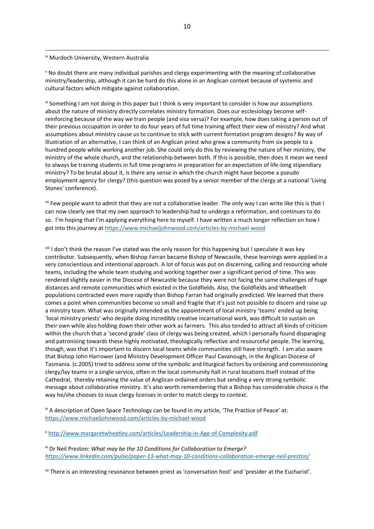#### iv Murdoch University, Western Australia

**.** 

<sup>v</sup> No doubt there are many individual parishes and clergy experimenting with the meaning of collaborative ministry/leadership, although it can be hard do this alone in an Anglican context because of systemic and cultural factors which mitigate against collaboration.

vi Something I am not doing in this paper but I think is very important to consider is how our assumptions about the nature of ministry directly correlates ministry formation. Does our ecclesiology become selfreinforcing because of the way we train people (and visa versa)? For example, how does taking a person out of their previous occupation in order to do four years of full time training affect their view of ministry? And what assumptions about ministry cause us to continue to stick with current formation program designs? By way of illustration of an alternative, I can think of an Anglican priest who grew a community from six people to a hundred people while working another job. She could only do this by reviewing the nature of her ministry, the ministry of the whole church, and the relationship between both. If this is possible, then does it mean we need to always be training students in full time programs in preparation for an expectation of life-long stipendiary ministry? To be brutal about it, is there any sense in which the church might have become a pseudo employment agency for clergy? (this question was posed by a senior member of the clergy at a national 'Living Stones' conference).

vii Few people want to admit that they are not a collaborative leader. The only way I can write like this is that I can now clearly see that my own approach to leadership had to undergo a reformation, and continues to do so. I'm hoping that I'm applying everything here to myself. I have written a much longer reflection on how I got into this journey at<https://www.michaeljohnwood.com/articles-by-michael-wood>

viii I don't think the reason I've stated was the only reason for this happening but I speculate it was key contributor. Subsequently, when Bishop Farran became Bishop of Newcastle, these learnings were applied in a very conscientious and intentional approach. A lot of focus was put on discerning, calling and resourcing whole teams, including the whole team studying and working together over a significant period of time. This was rendered slightly easier in the Diocese of Newcastle because they were not facing the same challenges of huge distances and remote communities which existed in the Goldfields. Also, the Goldfields and Wheatbelt populations contracted even more rapidly than Bishop Farran had originally predicted. We learned that there comes a point when communities become so small and fragile that it's just not possible to discern and raise up a ministry team. What was originally intended as the appointment of local ministry 'teams' ended up being 'local ministry priests' who despite doing incredibly creative incarnational work, was difficult to sustain on their own while also holding down their other work as farmers. This also tended to attract all kinds of criticism within the church that a 'second grade' class of clergy was being created, which I personally found disparaging and patronising towards these highly motivated, theologically reflective and resourceful people. The learning, though, was that it's important to discern local teams while communities still have strength. I am also aware that Bishop John Harrower (and Ministry Development Officer Paul Cavanough, in the Anglican Diocese of Tasmania. (c.2005) tried to address some of the symbolic and liturgical factors by ordaining and commissioning clergy/lay teams in a single service, often in the local community hall in rural locations itself instead of the Cathedral, thereby retaining the value of Anglican ordained orders but sending a very strong symbolic message about collaborative ministry. It's also worth remembering that a Bishop has considerable choice is the way he/she chooses to issue clergy licenses in order to match clergy to context.

 $\dot{X}$  A description of Open Space Technology can be found in my article, 'The Practice of Peace' at: <https://www.michaeljohnwood.com/articles-by-michael-wood>

<sup>x</sup> <http://www.margaretwheatley.com/articles/Leadership-in-Age-of-Complexity.pdf>

xi Dr Neil Preston: *What may be the 10 Conditions for Collaboration to Emerge? <https://www.linkedin.com/pulse/paper-13-what-may-10-conditions-collaboration-emerge-neil-preston/>*

xii There is an interesting resonance between priest as 'conversation host' and 'presider at the Eucharist'.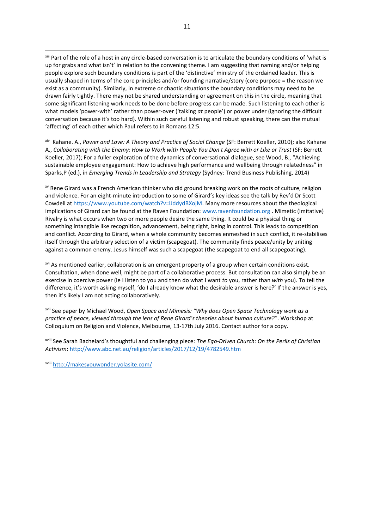xiii Part of the role of a host in any circle-based conversation is to articulate the boundary conditions of 'what is up for grabs and what isn't' in relation to the convening theme. I am suggesting that naming and/or helping people explore such boundary conditions is part of the 'distinctive' ministry of the ordained leader. This is usually shaped in terms of the core principles and/or founding narrative/story (core purpose = the reason we exist as a community). Similarly, in extreme or chaotic situations the boundary conditions may need to be drawn fairly tightly. There may not be shared understanding or agreement on this in the circle, meaning that some significant listening work needs to be done before progress can be made. Such listening to each other is what models 'power-with' rather than power-over ('talking *at* people') or power under (ignoring the difficult conversation because it's too hard). Within such careful listening and robust speaking, there can the mutual 'affecting' of each other which Paul refers to in Romans 12:5.

xiv Kahane. A., *Power and Love: A Theory and Practice of Social Change* (SF: Berrett Koeller, 2010); also Kahane A., *Collaborating with the Enemy: How to Work with People You Don t Agree with or Like or Trust* (SF: Berrett Koeller, 2017); For a fuller exploration of the dynamics of conversational dialogue, see Wood, B., "Achieving sustainable employee engagement: How to achieve high performance and wellbeing through relatedness" in Sparks,P (ed.), in *Emerging Trends in Leadership and Strategy* (Sydney: Trend Business Publishing, 2014)

xv Rene Girard was a French American thinker who did ground breaking work on the roots of culture, religion and violence. For an eight-minute introduction to some of Girard's key ideas see the talk by Rev'd Dr Scott Cowdell at [https://www.youtube.com/watch?v=lJddydBXojM.](https://www.youtube.com/watch?v=lJddydBXojM) Many more resources about the theological implications of Girard can be found at the Raven Foundation: [www.ravenfoundation.org](http://www.ravenfoundation.org/) . Mimetic (Imitative) Rivalry is what occurs when two or more people desire the same thing. It could be a physical thing or something intangible like recognition, advancement, being right, being in control. This leads to competition and conflict. According to Girard, when a whole community becomes enmeshed in such conflict, it re-stabilises itself through the arbitrary selection of a victim (scapegoat). The community finds peace/unity by uniting against a common enemy. Jesus himself was such a scapegoat (the scapegoat to end all scapegoating).

<sup>xvi</sup> As mentioned earlier, collaboration is an emergent property of a group when certain conditions exist. Consultation, when done well, might be part of a collaborative process. But consultation can also simply be an exercise in coercive power (ie I listen to you and then do what I want *to* you, rather than *with* you). To tell the difference, it's worth asking myself, 'do I already know what the desirable answer is here?' If the answer is yes, then it's likely I am not acting collaboratively.

xvii See paper by Michael Wood, *Open Space and Mimesis: "Why does Open Space Technology work as a practice of peace, viewed through the lens of Rene Girard's theories about human culture?"*. Workshop at Colloquium on Religion and Violence, Melbourne, 13-17th July 2016. Contact author for a copy.

xviii See Sarah Bachelard's thoughtful and challenging piece: *The Ego-Driven Church: On the Perils of Christian Activism*:<http://www.abc.net.au/religion/articles/2017/12/19/4782549.htm>

xviii <http://makesyouwonder.yolasite.com/>

**.**